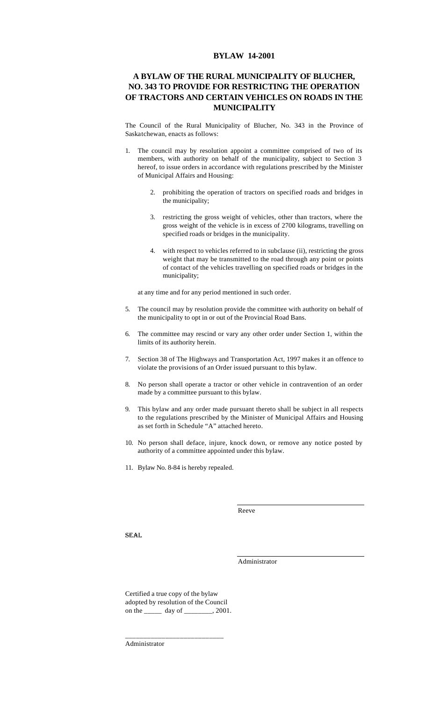## **BYLAW 14-2001**

## **A BYLAW OF THE RURAL MUNICIPALITY OF BLUCHER, NO. 343 TO PROVIDE FOR RESTRICTING THE OPERATION OF TRACTORS AND CERTAIN VEHICLES ON ROADS IN THE MUNICIPALITY**

The Council of the Rural Municipality of Blucher, No. 343 in the Province of Saskatchewan, enacts as follows:

- 1. The council may by resolution appoint a committee comprised of two of its members, with authority on behalf of the municipality, subject to Section 3 hereof, to issue orders in accordance with regulations prescribed by the Minister of Municipal Affairs and Housing:
	- 2. prohibiting the operation of tractors on specified roads and bridges in the municipality;
	- 3. restricting the gross weight of vehicles, other than tractors, where the gross weight of the vehicle is in excess of 2700 kilograms, travelling on specified roads or bridges in the municipality.
	- 4. with respect to vehicles referred to in subclause (ii), restricting the gross weight that may be transmitted to the road through any point or points of contact of the vehicles travelling on specified roads or bridges in the municipality;

at any time and for any period mentioned in such order.

- 5. The council may by resolution provide the committee with authority on behalf of the municipality to opt in or out of the Provincial Road Bans.
- 6. The committee may rescind or vary any other order under Section 1, within the limits of its authority herein.
- 7. Section 38 of The Highways and Transportation Act, 1997 makes it an offence to violate the provisions of an Order issued pursuant to this bylaw.
- 8. No person shall operate a tractor or other vehicle in contravention of an order made by a committee pursuant to this bylaw.
- 9. This bylaw and any order made pursuant thereto shall be subject in all respects to the regulations prescribed by the Minister of Municipal Affairs and Housing as set forth in Schedule "A" attached hereto.
- 10. No person shall deface, injure, knock down, or remove any notice posted by authority of a committee appointed under this bylaw.
- 11. Bylaw No. 8-84 is hereby repealed.

Reeve

SEAL

Administrator

Certified a true copy of the bylaw adopted by resolution of the Council on the \_\_\_\_\_ day of \_\_\_\_\_\_\_\_, 2001.

\_\_\_\_\_\_\_\_\_\_\_\_\_\_\_\_\_\_\_\_\_\_\_\_\_\_\_

Administrator